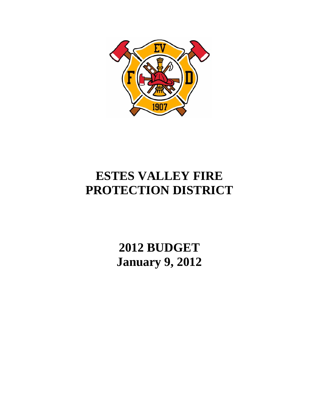

# **ESTES VALLEY FIRE PROTECTION DISTRICT**

**2012 BUDGET January 9, 2012**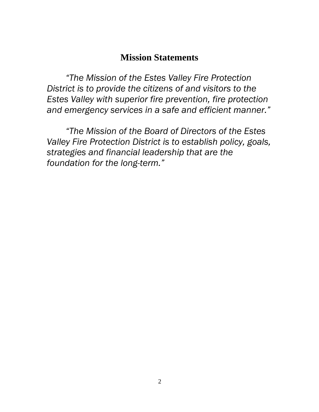## **Mission Statements**

*"The Mission of the Estes Valley Fire Protection District is to provide the citizens of and visitors to the Estes Valley with superior fire prevention, fire protection and emergency services in a safe and efficient manner."* 

*"The Mission of the Board of Directors of the Estes Valley Fire Protection District is to establish policy, goals, strategies and financial leadership that are the foundation for the long-term."*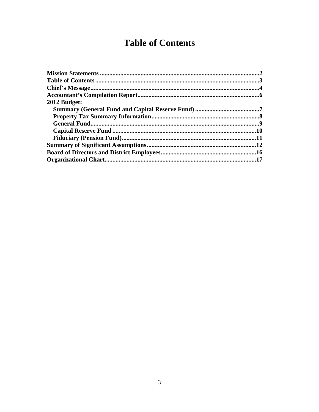## **Table of Contents**

| 2012 Budget: |  |
|--------------|--|
|              |  |
|              |  |
|              |  |
|              |  |
|              |  |
|              |  |
|              |  |
|              |  |
|              |  |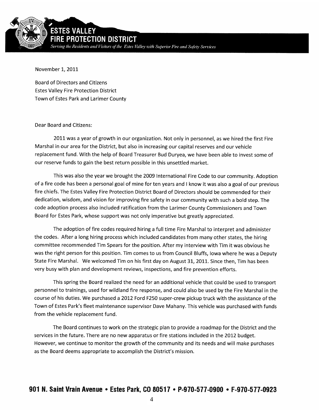

November 1,2011

Board of Directors and Citizens Estes Valley Fire Protection District Town of Estes Park and Larimer County

Dear Board and Citizens:

2011 was a year of growth in our organization. Not only in personnel, as we hired the first Fire Marshal in our area for the District, but also in increasing our capital reserves and our vehicle replacement fund. With the help of Board Treasurer Bud Duryea, we have been able to invest some of our reserve funds to gain the best return possible in this unsettled market.

This was also the year we brought the 2009 International Fire Code to our community. Adoption of a fire code has been a personal goal of mine for ten years and I know it was also a goal of our previous fire chiefs. The Estes Valley Fire Protection District Board of Directors should be commended for their dedication, wisdom, and vision for improving fire safety in our community with such a bold step. The code adoption process also included ratification from the Larimer County Commissioners and Town Board for Estes Park, whose support was not only imperative but greatly appreciated.

The adoption of fire codes required hiring a full time Fire Marshal to interpret and administer the codes. After a long hiring process which included candidates from many other states, the hiring committee recommended Tim Spears for the position. After my interview with Tim it was obvious he was the right person for this position. Tim comes to us from Council Bluffs, Iowa where he was a Deputy State Fire Marshal. We welcomed Tim on his first day on August 31, 2011. Since then, Tim has been very busy with plan and development reviews, inspections, and fire prevention efforts.

This spring the Board realized the need for an additional vehicle that could be used to transport personnel to trainings, used for wildiand fire response, and could also be used by the Fire Marshal in the course of his duties. We purchased a 2012 Ford F250 super-crew pickup truck *with* the assistance of the Town of Estes Park's fleet maintenance supervisor Dave Mahany. This vehicle was purchased with funds from the vehicle replacement fund.

The Board continues to work on the strategic plan to provide a roadmap forthe District and the services in the future. There are no new apparatus or fire stations included in the 2012 budget. However, we continue to monitor the growth of the community and its needs and will make purchases as the Board deems appropriate to accomplish the District's mission.

### 901 N. Saint Vram Avenue • Estes Park, Co 80517 • P-970-577-0900 *•* F-970-577-0923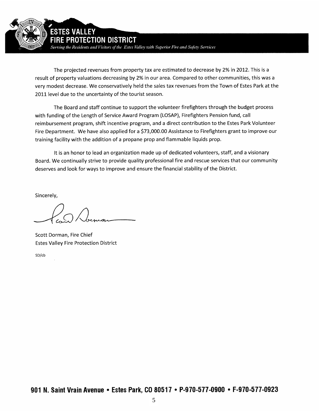

**ECTION DISTRICT** 

**STES VALLEY** 

Serving the Residents and Visitors of the Estes Valley with Superior Fire and Safety Services

The projected revenues from property tax are estimated to decrease by 2% in 2012. This is a result of property valuations decreasing by 2% in our area. Compared to other communities, this was a very modest decrease. We conservatively held the sales tax revenues from the Town of Estes Park at the 2011 level due to the uncertainty of the tourist season.

The Board and staff continue to support the volunteer firefighters through the budget process with funding of the Length of Service Award Program (LOSAP), Firefighters Pension fund, call reimbursement program, shift incentive program, and a direct contribution to the Estes Park Volunteer Fire Department. We have also applied for a \$73,000.00 Assistance to Firefighters grant to improve our training facility with the addition of a propane prop and flammable liquids prop.

It is an honor to lead an organization made up of dedicated volunteers, staff, and a visionary Board. We continually strive to provide quality professional fire and rescue services that our community deserves and look for ways to improve and ensure the financial stability of the District.

Sincerely,

Scott Dorman, Fire Chief Estes Valley Fire Protection District

SD/cb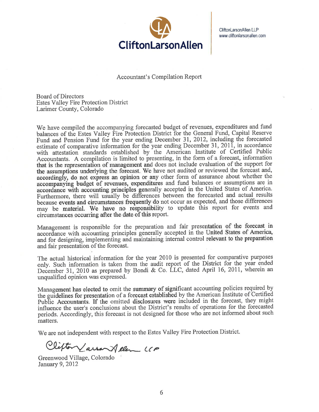

CliftonLarsonAllen LLP www.cliftonlarsonallen.com

**Accountant's Compilation Report** 

**Board of Directors Estes Valley Fire Protection District** Larimer County, Colorado

We have compiled the accompanying forecasted budget of revenues, expenditures and fund balances of the Estes Valley Fire Protection District for the General Fund, Capital Reserve Fund and Pension Fund for the year ending December 31, 2012, including the forecasted estimate of comparative information for the year ending December 31, 2011, in accordance with attestation standards established by the American Institute of Certified Public Accountants. A compilation is limited to presenting, in the form of a forecast, information that is the representation of management and does not include evaluation of the support for the assumptions underlying the forecast. We have not audited or reviewed the forecast and, accordingly, do not express an opinion or any other form of assurance about whether the accompanying budget of revenues, expenditures and fund balances or assumptions are in accordance with accounting principles generally accepted in the United States of America. Furthermore, there will usually be differences between the forecasted and actual results because events and circumstances frequently do not occur as expected, and those differences may be material. We have no responsibility to update this report for events and circumstances occurring after the date of this report.

Management is responsible for the preparation and fair presentation of the forecast in accordance with accounting principles generally accepted in the United States of America, and for designing, implementing and maintaining internal control relevant to the preparation and fair presentation of the forecast.

The actual historical information for the year 2010 is presented for comparative purposes only. Such information is taken from the audit report of the District for the year ended December 31, 2010 as prepared by Bondi & Co. LLC, dated April 16, 2011, wherein an unqualified opinion was expressed.

Management has elected to omit the summary of significant accounting policies required by the guidelines for presentation of a forecast established by the American Institute of Certified Public Accountants. If the omitted disclosures were included in the forecast, they might influence the user's conclusions about the District's results of operations for the forecasted periods. Accordingly, this forecast is not designed for those who are not informed about such matters.

We are not independent with respect to the Estes Valley Fire Protection District.

Clifton Larron Allen LCP

Greenwood Village, Colorado January 9, 2012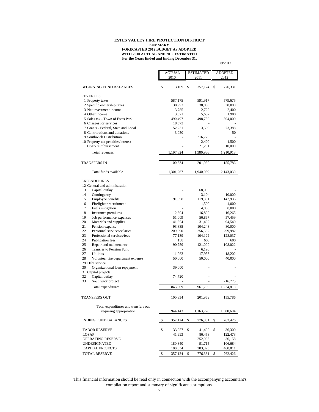#### **ESTES VALLEY FIRE PROTECTION DISTRICT SUMMARY**

#### **For the Years Ended and Ending December 31, FORECASTED 2012 BUDGET AS ADOPTED WITH 2010 ACTUAL AND 2011 ESTIMATED**

1/9/2012

|                                                                 |               | <b>ESTIMATED</b> | <b>ADOPTED</b> |
|-----------------------------------------------------------------|---------------|------------------|----------------|
|                                                                 | 2010          | 2011             | 2012           |
| <b>BEGINNING FUND BALANCES</b>                                  | \$<br>3,109   | \$<br>357,124    | \$<br>776,331  |
| <b>REVENUES</b>                                                 |               |                  |                |
| 1 Property taxes                                                | 587,175       | 591,917          | 579,675        |
| 2 Specific ownership taxes                                      | 38,992        | 38,000           | 38,000         |
| 3 Net investment income                                         | 3,785         | 2,722            | 2,400          |
| 4 Other income                                                  | 3,521         | 5,632            | 1,900          |
| 5 Sales tax - Town of Estes Park                                | 490,497       | 498,750          | 504,000        |
| 6 Charges for services                                          | 18,573        |                  |                |
| 7 Grants - Federal, State and Local                             | 52,231        | 3,509            | 73,388         |
| 8 Contributions and donations                                   | 3,050         |                  | 50             |
| 9 Southwick Distribution                                        |               | 216,775          |                |
| 10 Property tax penalties/interest                              |               | 2,400            | 1,500          |
| 11 CSFS reimbursement                                           |               | 21,261           | 10,000         |
| Total revenues                                                  | 1,197,824     | 1,380,966        | 1,210,913      |
| <b>TRANSFERS IN</b>                                             | 100,334       | 201,969          | 155,786        |
| Total funds available                                           | 1,301,267     | 1,940,059        | 2,143,030      |
|                                                                 |               |                  |                |
| <b>EXPENDITURES</b>                                             |               |                  |                |
| 12 General and administration<br>Capital outlay<br>13           |               |                  |                |
| Contingency<br>14                                               |               | 68,000<br>3,104  | 10,000         |
| Employee benefits<br>15                                         | 91,098        | 119,331          | 142,936        |
| Firefighter recruitment<br>16                                   |               | 1,500            | 4,000          |
| Fuels mitigation<br>17                                          |               | 4,000            | 8,000          |
| Insurance premiums<br>18                                        | 12,604        | 16,800           | 16,265         |
| Job performance expenses<br>19                                  | 51,009        | 56,867           | 57,459         |
| Materials and supplies<br>20                                    | 41,554        | 31,482           | 94,540         |
| Pension expense<br>21                                           | 93,835        | 104,248          | 80,000         |
| Personnel services/salaries<br>22                               | 209,990       | 256,562          | 299,982        |
| 23<br>Professional services/fees                                | 77,139        | 104,122          | 128,037        |
| 24<br>Publication fees                                          | 138           | 600              | 600            |
| 25<br>Repair and maintenance                                    | 90,759        | 121,000          | 108,022        |
| <b>Transfer to Pension Fund</b><br>26                           |               | 6,190            |                |
| 27<br>Utilities                                                 | 11,963        | 17,953           | 18,202         |
| 28<br>Volunteer fire department expense                         | 50,000        | 50,000           | 40,000         |
| 29 Debt service<br>30                                           |               |                  |                |
| Organizational loan repayment<br>31 Capital projects            | 39,000        |                  |                |
| Capital outlay<br>32                                            | 74,720        |                  |                |
| Southwick project<br>33                                         |               |                  | 216,775        |
|                                                                 |               |                  |                |
| Total expenditures                                              | 843,809       | 961,759          | 1,224,818      |
| <b>TRANSFERS OUT</b>                                            | 100,334       | 201,969          | 155,786        |
|                                                                 |               |                  |                |
| Total expenditures and transfers out<br>requiring appropriation | 944,143       | 1,163,728        | 1,380,604      |
|                                                                 |               |                  |                |
| <b>ENDING FUND BALANCES</b>                                     | \$<br>357,124 | \$<br>776,331    | \$<br>762,426  |
| <b>TABOR RESERVE</b>                                            | \$<br>33,957  | \$<br>41,400     | \$<br>36,300   |
| LOSAP                                                           | 41,993        | 86,458           | 122,473        |
| OPERATING RESERVE                                               |               | 252,933          | 36,158         |
| <b>UNDESIGNATED</b>                                             | 180,840       | 91,715           | 106,684        |
| <b>CAPITAL PROJECTS</b>                                         | 100,334       | 303,825          | 460,811        |
| TOTAL RESERVE                                                   | \$<br>357,124 | \$<br>776,331    | \$<br>762,426  |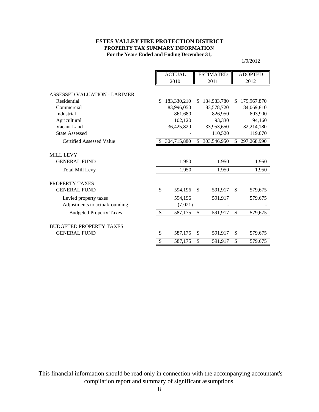#### **For the Years Ended and Ending December 31, ESTES VALLEY FIRE PROTECTION DISTRICT PROPERTY TAX SUMMARY INFORMATION**

1/9/2012

|                                 | <b>ACTUAL</b> |                | <b>ESTIMATED</b> |             | <b>ADOPTED</b> |             |
|---------------------------------|---------------|----------------|------------------|-------------|----------------|-------------|
|                                 | 2010          |                | 2011             |             |                | 2012        |
| ASSESSED VALUATION - LARIMER    |               |                |                  |             |                |             |
| Residential                     | \$            | 183,330,210    | \$               | 184,983,780 | \$.            | 179,967,870 |
| Commercial                      |               | 83,996,050     |                  | 83,578,720  |                | 84,069,810  |
| Industrial                      |               | 861,680        |                  | 826,950     |                | 803,900     |
| Agricultural                    |               | 102,120        |                  | 93.330      |                | 94,160      |
| Vacant Land                     |               | 36,425,820     |                  | 33,953,650  |                | 32,214,180  |
| <b>State Assessed</b>           |               |                |                  | 110,520     |                | 119,070     |
| <b>Certified Assessed Value</b> |               | \$ 304,715,880 | \$               | 303,546,950 | \$             | 297,268,990 |
| <b>MILL LEVY</b>                |               |                |                  |             |                |             |
| <b>GENERAL FUND</b>             |               | 1.950          |                  | 1.950       |                | 1.950       |
| <b>Total Mill Levy</b>          |               | 1.950          |                  | 1.950       |                | 1.950       |
| PROPERTY TAXES                  |               |                |                  |             |                |             |
| <b>GENERAL FUND</b>             | \$            | 594,196        | <sup>\$</sup>    | 591,917     | \$             | 579,675     |
| Levied property taxes           |               | 594,196        |                  | 591,917     |                | 579,675     |
| Adjustments to actual/rounding  |               | (7,021)        |                  |             |                |             |
| <b>Budgeted Property Taxes</b>  |               | 587,175        | \$               | 591,917     | \$             | 579,675     |
|                                 |               |                |                  |             |                |             |
| <b>BUDGETED PROPERTY TAXES</b>  |               |                |                  |             |                |             |
| <b>GENERAL FUND</b>             | \$            | 587,175        | \$               | 591,917     | \$             | 579,675     |
|                                 | \$            | 587,175        | \$               | 591,917     | \$             | 579,675     |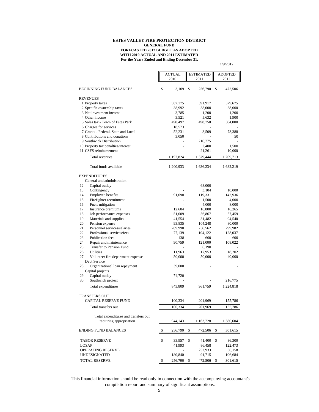#### **For the Years Ended and Ending December 31, ESTES VALLEY FIRE PROTECTION DISTRICT GENERAL FUND FORECASTED 2012 BUDGET AS ADOPTED WITH 2010 ACTUAL AND 2011 ESTIMATED**

1/9/2012

|                                                         | ACTUAL        | <b>ESTIMATED</b> | <b>ADOPTED</b> |  |
|---------------------------------------------------------|---------------|------------------|----------------|--|
|                                                         | 2010          | 2011             | 2012           |  |
|                                                         |               |                  |                |  |
| <b>BEGINNING FUND BALANCES</b>                          | \$<br>3,109   | \$<br>256,790    | \$<br>472,506  |  |
| <b>REVENUES</b>                                         |               |                  |                |  |
| 1 Property taxes                                        | 587,175       | 591,917          | 579,675        |  |
| 2 Specific ownership taxes                              | 38,992        | 38,000           | 38,000         |  |
| 3 Net investment income                                 | 3,785         | 1,200            | 1,200          |  |
| 4 Other income                                          | 3,521         | 5,632            | 1,900          |  |
| 5 Sales tax - Town of Estes Park                        | 490,497       | 498,750          | 504,000        |  |
| 6 Charges for services                                  | 18,573        |                  |                |  |
| 7 Grants - Federal, State and Local                     | 52,231        | 3,509            | 73,388         |  |
| 8 Contributions and donations                           | 3,050         |                  | 50             |  |
| 9 Southwick Distribution                                |               | 216,775          |                |  |
| 10 Property tax penalties/interest                      |               | 2,400            | 1,500          |  |
| 11 CSFS reimbursement                                   |               | 21,261           | 10,000         |  |
| Total revenues                                          | 1,197,824     | 1,379,444        | 1,209,713      |  |
| Total funds available                                   | 1,200,933     | 1,636,234        | 1,682,219      |  |
| <b>EXPENDITURES</b>                                     |               |                  |                |  |
| General and administration                              |               |                  |                |  |
| 12<br>Capital outlay                                    |               | 68,000           |                |  |
| 13<br>Contingency                                       |               | 3,104            | 10,000         |  |
| 14<br>Employee benefits                                 | 91,098        | 119,331          | 142,936        |  |
| Firefighter recruitment<br>15                           |               | 1,500            | 4,000          |  |
| Fuels mitigation<br>16                                  |               | 4,000            | 8,000          |  |
| 17<br>Insurance premiums                                | 12,604        | 16,800           | 16,265         |  |
| Job performance expenses<br>18                          | 51,009        | 56,867           | 57,459         |  |
| 19<br>Materials and supplies                            | 41,554        | 31,482           | 94,540         |  |
| Pension expense<br>20                                   | 93,835        | 104,248          | 80,000         |  |
| Personnel services/salaries<br>21                       | 209,990       | 256,562          | 299,982        |  |
| Professional services/fees<br>22                        | 77,139        | 104,122          | 128,037        |  |
| 23<br><b>Publication</b> fees                           | 138           | 600              | 600            |  |
| 24<br>Repair and maintenance                            | 90,759        | 121,000          | 108,022        |  |
| Transfer to Pension Fund<br>25                          |               | 6,190            |                |  |
| 26<br>Utilities                                         | 11,963        | 17,953           | 18,202         |  |
| 27<br>Volunteer fire department expense<br>Debt Service | 50,000        | 50,000           | 40,000         |  |
| 28<br>Organizational loan repayment                     | 39,000        |                  |                |  |
| Capital projects                                        |               |                  |                |  |
| 29<br>Capital outlay                                    | 74,720        |                  |                |  |
| 30<br>Southwick project                                 |               |                  | 216,775        |  |
| Total expenditures                                      | 843,809       | 961,759          | 1,224,818      |  |
| TRANSFERS OUT                                           |               |                  |                |  |
| CAPITAL RESERVE FUND                                    | 100,334       | 201,969          | 155,786        |  |
| Total transfers out                                     | 100,334       | 201,969          | 155,786        |  |
|                                                         |               |                  |                |  |
| Total expenditures and transfers out                    |               |                  |                |  |
| requiring appropriation                                 | 944,143       | 1,163,728        | 1,380,604      |  |
| <b>ENDING FUND BALANCES</b>                             | \$<br>256,790 | \$<br>472,506    | \$<br>301,615  |  |
| <b>TABOR RESERVE</b>                                    | \$<br>33,957  | \$<br>41,400     | \$<br>36,300   |  |
| LOSAP                                                   | 41,993        | 86,458           | 122,473        |  |
| OPERATING RESERVE                                       |               | 252,933          | 36,158         |  |
| <b>UNDESIGNATED</b>                                     | 180,840       | 91,715           | 106,684        |  |
| TOTAL RESERVE                                           |               |                  |                |  |
|                                                         | \$<br>256,790 | \$<br>472,506    | \$<br>301,615  |  |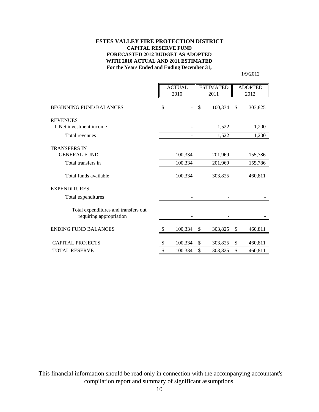#### **For the Years Ended and Ending December 31, ESTES VALLEY FIRE PROTECTION DISTRICT CAPITAL RESERVE FUND FORECASTED 2012 BUDGET AS ADOPTED WITH 2010 ACTUAL AND 2011 ESTIMATED**

1/9/2012

|                                                                 |    | <b>ACTUAL</b><br><b>ESTIMATED</b><br>2010<br>2011 |    | <b>ADOPTED</b><br>2012 |               |
|-----------------------------------------------------------------|----|---------------------------------------------------|----|------------------------|---------------|
| <b>BEGINNING FUND BALANCES</b>                                  | \$ |                                                   | \$ | 100,334                | \$<br>303,825 |
| <b>REVENUES</b>                                                 |    |                                                   |    |                        |               |
| 1 Net investment income                                         |    |                                                   |    | 1,522                  | 1,200         |
| Total revenues                                                  |    |                                                   |    | 1,522                  | 1,200         |
| <b>TRANSFERS IN</b>                                             |    |                                                   |    |                        |               |
| <b>GENERAL FUND</b>                                             |    | 100,334                                           |    | 201,969                | 155,786       |
| Total transfers in                                              |    | 100,334                                           |    | 201,969                | 155,786       |
| Total funds available                                           |    | 100,334                                           |    | 303,825                | 460,811       |
| <b>EXPENDITURES</b>                                             |    |                                                   |    |                        |               |
| Total expenditures                                              |    |                                                   |    |                        |               |
| Total expenditures and transfers out<br>requiring appropriation |    |                                                   |    |                        |               |
| <b>ENDING FUND BALANCES</b>                                     | S  | 100,334                                           | \$ | 303,825                | \$<br>460,811 |
| <b>CAPITAL PROJECTS</b>                                         | \$ | 100,334                                           | \$ | 303,825                | \$<br>460,811 |
| <b>TOTAL RESERVE</b>                                            | \$ | 100,334                                           | \$ | 303,825                | \$<br>460,811 |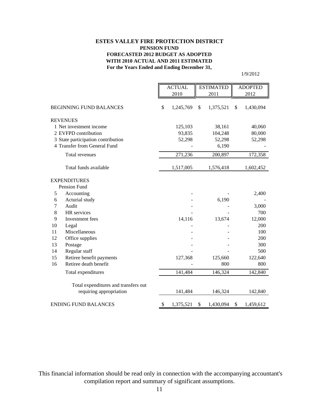#### **For the Years Ended and Ending December 31, ESTES VALLEY FIRE PROTECTION DISTRICT PENSION FUND FORECASTED 2012 BUDGET AS ADOPTED WITH 2010 ACTUAL AND 2011 ESTIMATED**

1/9/2012

|    |                                      | <b>ACTUAL</b><br><b>ESTIMATED</b> |           | <b>ADOPTED</b>  |    |           |
|----|--------------------------------------|-----------------------------------|-----------|-----------------|----|-----------|
|    |                                      |                                   | 2010      | 2011            |    | 2012      |
|    | <b>BEGINNING FUND BALANCES</b>       | \$                                | 1,245,769 | \$<br>1,375,521 | \$ | 1,430,094 |
|    |                                      |                                   |           |                 |    |           |
|    | <b>REVENUES</b>                      |                                   |           |                 |    |           |
|    | 1 Net investment income              |                                   | 125,103   | 38,161          |    | 40,060    |
|    | 2 EVFPD contribution                 |                                   | 93,835    | 104,248         |    | 80,000    |
|    | 3 State participation contribution   |                                   | 52,298    | 52,298          |    | 52,298    |
|    | 4 Transfer from General Fund         |                                   |           | 6,190           |    |           |
|    | Total revenues                       |                                   | 271,236   | 200,897         |    | 172,358   |
|    | Total funds available                |                                   | 1,517,005 | 1,576,418       |    | 1,602,452 |
|    | <b>EXPENDITURES</b>                  |                                   |           |                 |    |           |
|    | Pension Fund                         |                                   |           |                 |    |           |
| 5  | Accounting                           |                                   |           |                 |    | 2,400     |
| 6  | Acturial study                       |                                   |           | 6,190           |    |           |
| 7  | Audit                                |                                   |           |                 |    | 3,000     |
| 8  | HR services                          |                                   |           |                 |    | 700       |
| 9  | Investment fees                      |                                   | 14,116    | 13,674          |    | 12,000    |
| 10 | Legal                                |                                   |           |                 |    | 200       |
| 11 | Miscellaneous                        |                                   |           |                 |    | 100       |
| 12 | Office supplies                      |                                   |           |                 |    | 200       |
| 13 | Postage                              |                                   |           |                 |    | 300       |
| 14 | Regular staff                        |                                   |           |                 |    | 500       |
| 15 | Retiree benefit payments             |                                   | 127,368   | 125,660         |    | 122,640   |
| 16 | Retiree death benefit                |                                   |           | 800             |    | 800       |
|    | Total expenditures                   |                                   | 141,484   | 146,324         |    | 142,840   |
|    | Total expenditures and transfers out |                                   |           |                 |    |           |
|    | requiring appropriation              |                                   | 141,484   | 146,324         |    | 142,840   |
|    | <b>ENDING FUND BALANCES</b>          | \$                                | 1,375,521 | \$<br>1,430,094 | \$ | 1,459,612 |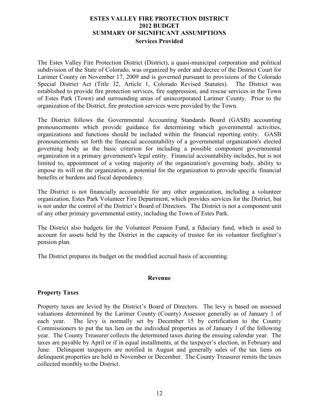#### **ESTES VALLEY FIRE PROTECTION DISTRICT 2012 BUDGET SUMMARY OF SIGNIFICANT ASSUMPTIONS Services Provided**

The Estes Valley Fire Protection District (District), a quasi-municipal corporation and political subdivision of the State of Colorado, was organized by order and decree of the District Court for Larimer County on November 17, 2009 and is governed pursuant to provisions of the Colorado Special District Act (Title 32, Article 1, Colorado Revised Statutes). The District was established to provide fire protection services, fire suppression, and rescue services in the Town of Estes Park (Town) and surrounding areas of unincorporated Larimer County. Prior to the organization of the District, fire protection services were provided by the Town.

The District follows the Governmental Accounting Standards Board (GASB) accounting pronouncements which provide guidance for determining which governmental activities, organizations and functions should be included within the financial reporting entity. GASB pronouncements set forth the financial accountability of a governmental organization's elected governing body as the basic criterion for including a possible component governmental organization in a primary government's legal entity. Financial accountability includes, but is not limited to, appointment of a voting majority of the organization's governing body, ability to impose its will on the organization, a potential for the organization to provide specific financial benefits or burdens and fiscal dependency.

The District is not financially accountable for any other organization, including a volunteer organization, Estes Park Volunteer Fire Department, which provides services for the District, but is not under the control of the District's Board of Directors. The District is not a component unit of any other primary governmental entity, including the Town of Estes Park.

The District also budgets for the Volunteer Pension Fund, a fiduciary fund, which is used to account for assets held by the District in the capacity of trustee for its volunteer firefighter's pension plan.

The District prepares its budget on the modified accrual basis of accounting.

#### **Revenue**

#### **Property Taxes**

Property taxes are levied by the District's Board of Directors. The levy is based on assessed valuations determined by the Larimer County (County) Assessor generally as of January 1 of each year. The levy is normally set by December 15 by certification to the County Commissioners to put the tax lien on the individual properties as of January 1 of the following year. The County Treasurer collects the determined taxes during the ensuing calendar year. The taxes are payable by April or if in equal installments, at the taxpayer's election, in February and June. Delinquent taxpayers are notified in August and generally sales of the tax liens on delinquent properties are held in November or December. The County Treasurer remits the taxes collected monthly to the District.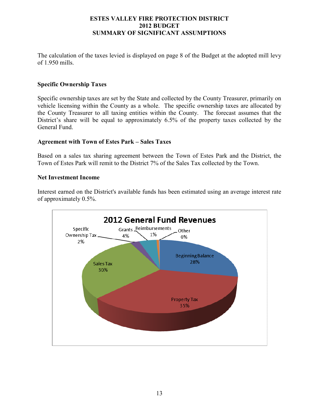#### **ESTES VALLEY FIRE PROTECTION DISTRICT 2012 BUDGET SUMMARY OF SIGNIFICANT ASSUMPTIONS**

The calculation of the taxes levied is displayed on page 8 of the Budget at the adopted mill levy of 1.950 mills.

#### **Specific Ownership Taxes**

Specific ownership taxes are set by the State and collected by the County Treasurer, primarily on vehicle licensing within the County as a whole. The specific ownership taxes are allocated by the County Treasurer to all taxing entities within the County. The forecast assumes that the District's share will be equal to approximately 6.5% of the property taxes collected by the General Fund.

#### **Agreement with Town of Estes Park – Sales Taxes**

Based on a sales tax sharing agreement between the Town of Estes Park and the District, the Town of Estes Park will remit to the District 7% of the Sales Tax collected by the Town.

#### **Net Investment Income**

Interest earned on the District's available funds has been estimated using an average interest rate of approximately 0.5%.

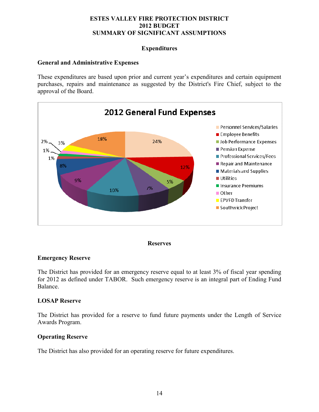#### **ESTES VALLEY FIRE PROTECTION DISTRICT 2012 BUDGET SUMMARY OF SIGNIFICANT ASSUMPTIONS**

#### **Expenditures**

#### **General and Administrative Expenses**

These expenditures are based upon prior and current year's expenditures and certain equipment purchases, repairs and maintenance as suggested by the District's Fire Chief, subject to the approval of the Board.





#### **Emergency Reserve**

The District has provided for an emergency reserve equal to at least 3% of fiscal year spending for 2012 as defined under TABOR. Such emergency reserve is an integral part of Ending Fund Balance.

#### **LOSAP Reserve**

The District has provided for a reserve to fund future payments under the Length of Service Awards Program.

#### **Operating Reserve**

The District has also provided for an operating reserve for future expenditures.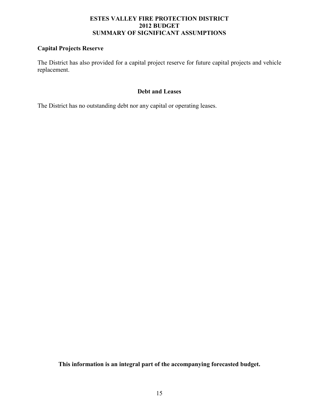#### **ESTES VALLEY FIRE PROTECTION DISTRICT 2012 BUDGET SUMMARY OF SIGNIFICANT ASSUMPTIONS**

#### **Capital Projects Reserve**

The District has also provided for a capital project reserve for future capital projects and vehicle replacement.

#### **Debt and Leases**

The District has no outstanding debt nor any capital or operating leases.

**This information is an integral part of the accompanying forecasted budget.**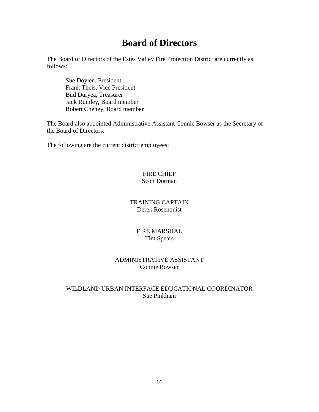## **Board of Directors**

The Board of Directors of the Estes Valley Fire Protection District are currently as follows:

 Sue Doylen, President Frank Theis, Vice President Bud Duryea, Treasurer Jack Rumley, Board member Robert Cheney, Board member

The Board also appointed Administrative Assistant Connie Bowser as the Secretary of the Board of Directors.

The following are the current district employees:

#### FIRE CHIEF Scott Dorman

### TRAINING CAPTAIN Derek Rosenquist

#### FIRE MARSHAL Tim Spears

#### ADMINISTRATIVE ASSISTANT Connie Bowser

### WILDLAND URBAN INTERFACE EDUCATIONAL COORDINATOR Sue Pinkham